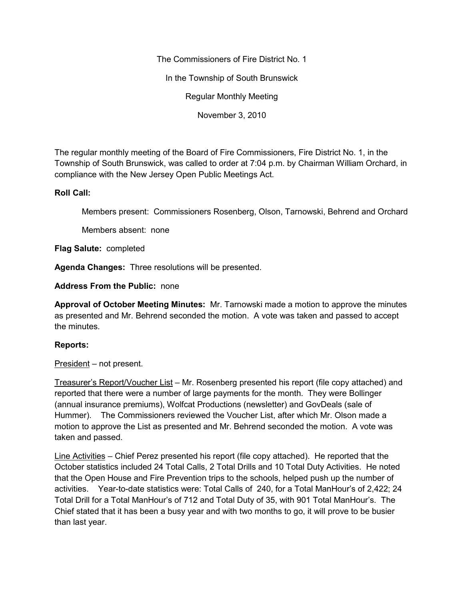The Commissioners of Fire District No. 1

In the Township of South Brunswick

Regular Monthly Meeting

November 3, 2010

The regular monthly meeting of the Board of Fire Commissioners, Fire District No. 1, in the Township of South Brunswick, was called to order at 7:04 p.m. by Chairman William Orchard, in compliance with the New Jersey Open Public Meetings Act.

## **Roll Call:**

Members present: Commissioners Rosenberg, Olson, Tarnowski, Behrend and Orchard

Members absent: none

**Flag Salute:** completed

**Agenda Changes:** Three resolutions will be presented.

**Address From the Public:** none

**Approval of October Meeting Minutes:** Mr. Tarnowski made a motion to approve the minutes as presented and Mr. Behrend seconded the motion. A vote was taken and passed to accept the minutes.

# **Reports:**

President – not present.

Treasurer's Report/Voucher List – Mr. Rosenberg presented his report (file copy attached) and reported that there were a number of large payments for the month. They were Bollinger (annual insurance premiums), Wolfcat Productions (newsletter) and GovDeals (sale of Hummer). The Commissioners reviewed the Voucher List, after which Mr. Olson made a motion to approve the List as presented and Mr. Behrend seconded the motion. A vote was taken and passed.

Line Activities – Chief Perez presented his report (file copy attached). He reported that the October statistics included 24 Total Calls, 2 Total Drills and 10 Total Duty Activities. He noted that the Open House and Fire Prevention trips to the schools, helped push up the number of activities. Year-to-date statistics were: Total Calls of 240, for a Total ManHour's of 2,422; 24 Total Drill for a Total ManHour's of 712 and Total Duty of 35, with 901 Total ManHour's. The Chief stated that it has been a busy year and with two months to go, it will prove to be busier than last year.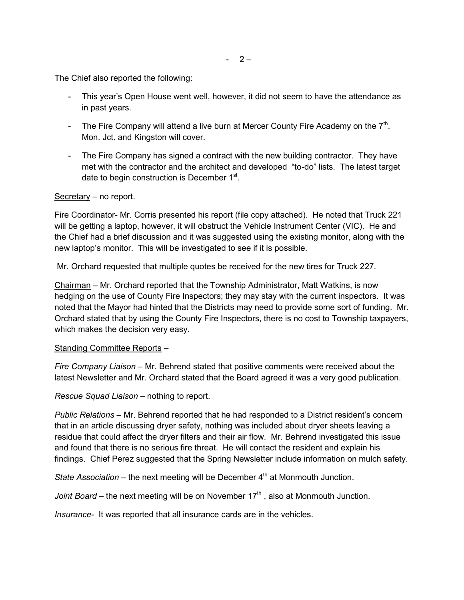The Chief also reported the following:

- This year's Open House went well, however, it did not seem to have the attendance as in past years.
- The Fire Company will attend a live burn at Mercer County Fire Academy on the  $7<sup>th</sup>$ . Mon. Jct. and Kingston will cover.
- The Fire Company has signed a contract with the new building contractor. They have met with the contractor and the architect and developed "to-do" lists. The latest target date to begin construction is December 1<sup>st</sup>.

## Secretary – no report.

Fire Coordinator- Mr. Corris presented his report (file copy attached). He noted that Truck 221 will be getting a laptop, however, it will obstruct the Vehicle Instrument Center (VIC). He and the Chief had a brief discussion and it was suggested using the existing monitor, along with the new laptop's monitor. This will be investigated to see if it is possible.

Mr. Orchard requested that multiple quotes be received for the new tires for Truck 227.

Chairman – Mr. Orchard reported that the Township Administrator, Matt Watkins, is now hedging on the use of County Fire Inspectors; they may stay with the current inspectors. It was noted that the Mayor had hinted that the Districts may need to provide some sort of funding. Mr. Orchard stated that by using the County Fire Inspectors, there is no cost to Township taxpayers, which makes the decision very easy.

#### Standing Committee Reports –

*Fire Company Liaison –* Mr. Behrend stated that positive comments were received about the latest Newsletter and Mr. Orchard stated that the Board agreed it was a very good publication.

*Rescue Squad Liaison –* nothing to report.

*Public Relations –* Mr. Behrend reported that he had responded to a District resident's concern that in an article discussing dryer safety, nothing was included about dryer sheets leaving a residue that could affect the dryer filters and their air flow. Mr. Behrend investigated this issue and found that there is no serious fire threat. He will contact the resident and explain his findings. Chief Perez suggested that the Spring Newsletter include information on mulch safety.

*State Association* – the next meeting will be December 4<sup>th</sup> at Monmouth Junction.

*Joint Board* – the next meeting will be on November 17<sup>th</sup>, also at Monmouth Junction.

*Insurance-* It was reported that all insurance cards are in the vehicles.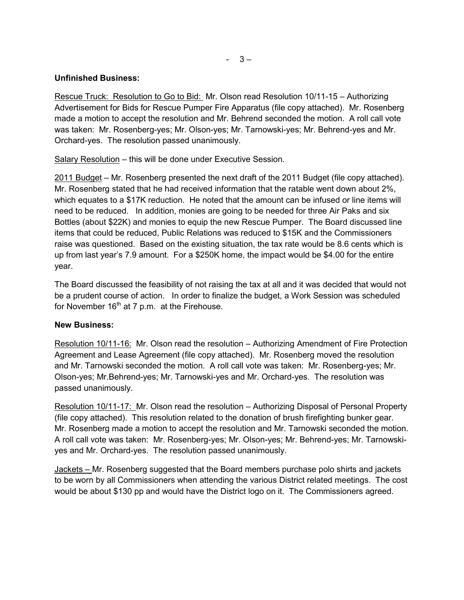# **Unfinished Business:**

Rescue Truck: Resolution to Go to Bid: Mr. Olson read Resolution 10/11-15 – Authorizing Advertisement for Bids for Rescue Pumper Fire Apparatus (file copy attached). Mr. Rosenberg made a motion to accept the resolution and Mr. Behrend seconded the motion. A roll call vote was taken: Mr. Rosenberg-yes; Mr. Olson-yes; Mr. Tarnowski-yes; Mr. Behrend-yes and Mr. Orchard-yes. The resolution passed unanimously.

Salary Resolution – this will be done under Executive Session.

2011 Budget – Mr. Rosenberg presented the next draft of the 2011 Budget (file copy attached). Mr. Rosenberg stated that he had received information that the ratable went down about 2%, which equates to a \$17K reduction. He noted that the amount can be infused or line items will need to be reduced. In addition, monies are going to be needed for three Air Paks and six Bottles (about \$22K) and monies to equip the new Rescue Pumper. The Board discussed line items that could be reduced, Public Relations was reduced to \$15K and the Commissioners raise was questioned. Based on the existing situation, the tax rate would be 8.6 cents which is up from last year's 7.9 amount. For a \$250K home, the impact would be \$4.00 for the entire year.

The Board discussed the feasibility of not raising the tax at all and it was decided that would not be a prudent course of action. In order to finalize the budget, a Work Session was scheduled for November  $16<sup>th</sup>$  at 7 p.m. at the Firehouse.

# **New Business:**

Resolution 10/11-16: Mr. Olson read the resolution – Authorizing Amendment of Fire Protection Agreement and Lease Agreement (file copy attached). Mr. Rosenberg moved the resolution and Mr. Tarnowski seconded the motion. A roll call vote was taken: Mr. Rosenberg-yes; Mr. Olson-yes; Mr.Behrend-yes; Mr. Tarnowski-yes and Mr. Orchard-yes. The resolution was passed unanimously.

Resolution 10/11-17: Mr. Olson read the resolution – Authorizing Disposal of Personal Property (file copy attached). This resolution related to the donation of brush firefighting bunker gear. Mr. Rosenberg made a motion to accept the resolution and Mr. Tarnowski seconded the motion. A roll call vote was taken: Mr. Rosenberg-yes; Mr. Olson-yes; Mr. Behrend-yes; Mr. Tarnowski yes and Mr. Orchard-yes. The resolution passed unanimously.

Jackets – Mr. Rosenberg suggested that the Board members purchase polo shirts and jackets to be worn by all Commissioners when attending the various District related meetings. The cost would be about \$130 pp and would have the District logo on it. The Commissioners agreed.